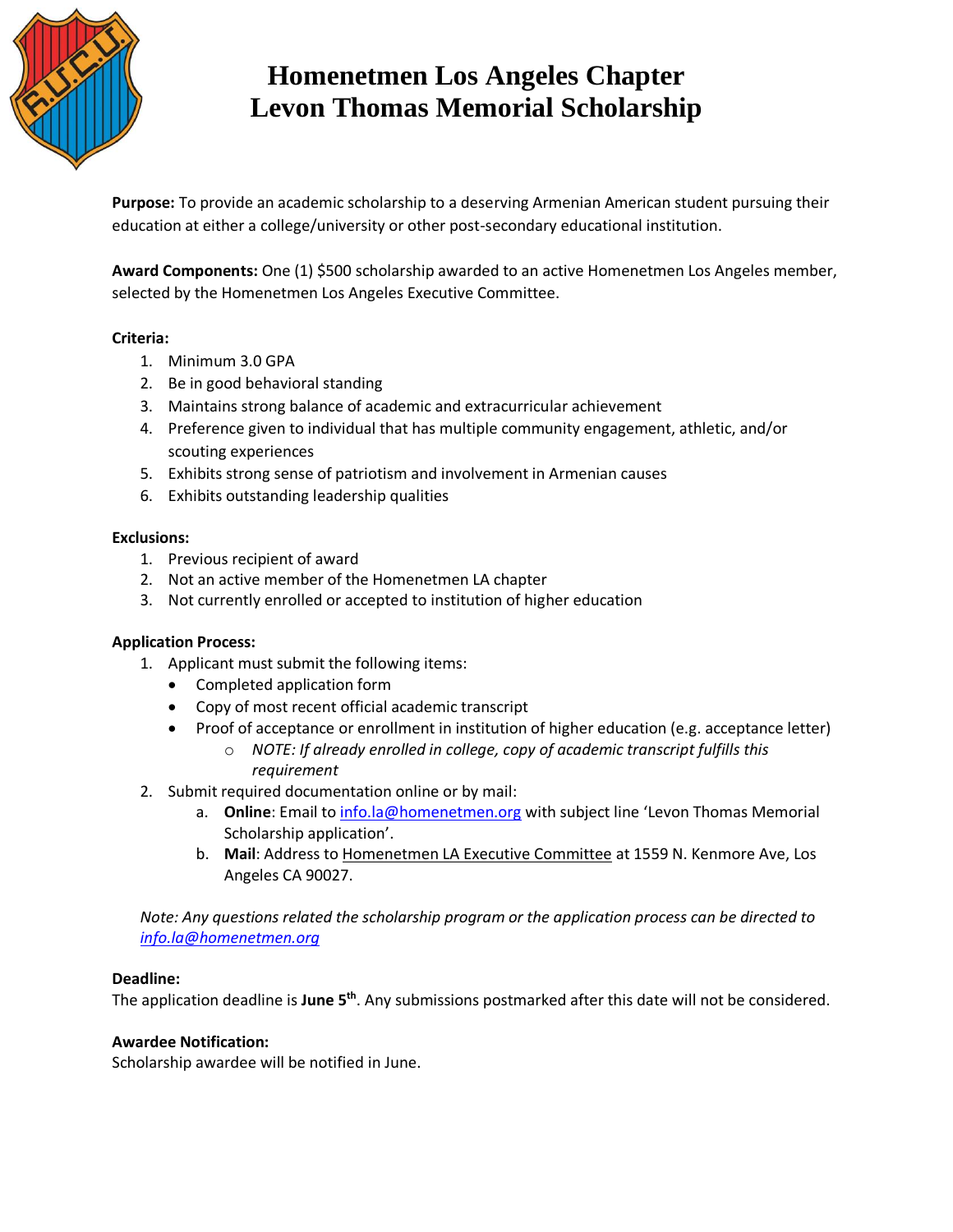

# **Homenetmen Los Angeles Chapter Levon Thomas Memorial Scholarship**

**Purpose:** To provide an academic scholarship to a deserving Armenian American student pursuing their education at either a college/university or other post-secondary educational institution.

**Award Components:** One (1) \$500 scholarship awarded to an active Homenetmen Los Angeles member, selected by the Homenetmen Los Angeles Executive Committee.

## **Criteria:**

- 1. Minimum 3.0 GPA
- 2. Be in good behavioral standing
- 3. Maintains strong balance of academic and extracurricular achievement
- 4. Preference given to individual that has multiple community engagement, athletic, and/or scouting experiences
- 5. Exhibits strong sense of patriotism and involvement in Armenian causes
- 6. Exhibits outstanding leadership qualities

## **Exclusions:**

- 1. Previous recipient of award
- 2. Not an active member of the Homenetmen LA chapter
- 3. Not currently enrolled or accepted to institution of higher education

#### **Application Process:**

- 1. Applicant must submit the following items:
	- Completed application form
	- Copy of most recent official academic transcript
	- Proof of acceptance or enrollment in institution of higher education (e.g. acceptance letter)
		- o *NOTE: If already enrolled in college, copy of academic transcript fulfills this requirement*
- 2. Submit required documentation online or by mail:
	- a. **Online**: Email t[o info.la@homenetmen.org](mailto:info.la@homenetmen.org) with subject line 'Levon Thomas Memorial Scholarship application'.
	- b. **Mail**: Address to Homenetmen LA Executive Committee at 1559 N. Kenmore Ave, Los Angeles CA 90027.

*Note: Any questions related the scholarship program or the application process can be directed to [info.la@homenetmen.org](mailto:info.la@homenetmen.org)*

#### **Deadline:**

The application deadline is **June 5 th**. Any submissions postmarked after this date will not be considered.

#### **Awardee Notification:**

Scholarship awardee will be notified in June.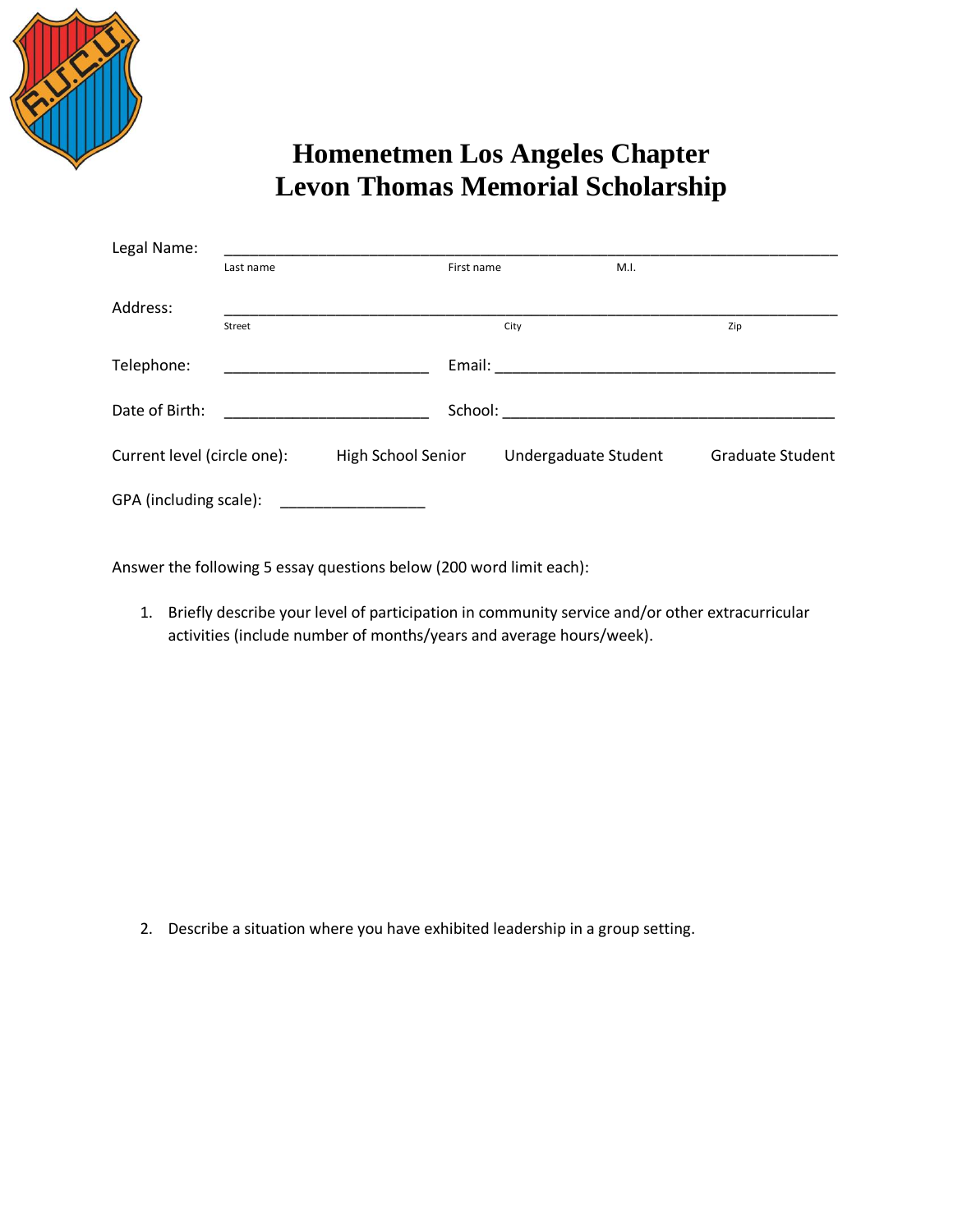

# **Homenetmen Los Angeles Chapter Levon Thomas Memorial Scholarship**

| Legal Name:                 |           |                    |                      |                         |
|-----------------------------|-----------|--------------------|----------------------|-------------------------|
|                             | Last name | First name         | M.I.                 |                         |
| Address:                    |           |                    |                      |                         |
|                             | Street    |                    | City                 | Zip                     |
| Telephone:                  |           | Email:             |                      |                         |
| Date of Birth:              | School:   |                    |                      |                         |
| Current level (circle one): |           | High School Senior | Undergaduate Student | <b>Graduate Student</b> |
| GPA (including scale):      |           |                    |                      |                         |

Answer the following 5 essay questions below (200 word limit each):

1. Briefly describe your level of participation in community service and/or other extracurricular activities (include number of months/years and average hours/week).

2. Describe a situation where you have exhibited leadership in a group setting.